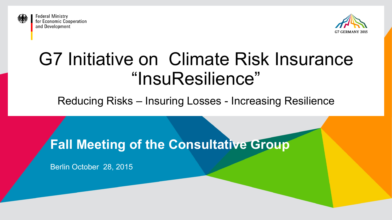

**Federal Ministry** for Economic Cooperation and Development



# G7 Initiative on Climate Risk Insurance "InsuResilience"

Reducing Risks – Insuring Losses - Increasing Resilience

**Fall Meeting of the Consultative Group** 

Berlin October 28, 2015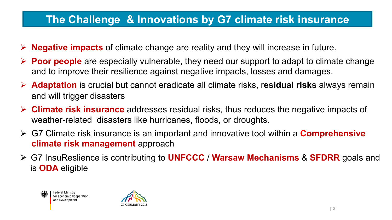### **The Challenge & Innovations by G7 climate risk insurance**

- Ø **Negative impacts** of climate change are reality and they will increase in future.
- Ø **Poor people** are especially vulnerable, they need our support to adapt to climate change and to improve their resilience against negative impacts, losses and damages.
- Ø **Adaptation** is crucial but cannot eradicate all climate risks, r**esidual risks** always remain and will trigger disasters
- Ø **Climate risk insurance** addresses residual risks, thus reduces the negative impacts of weather-related disasters like hurricanes, floods, or droughts.
- Ø G7 Climate risk insurance is an important and innovative tool within a **Comprehensive climate risk management** approach
- Ø G7 InsuReslience is contributing to **UNFCCC** / **Warsaw Mechanisms** & **SFDRR** goals and is **ODA** eligible



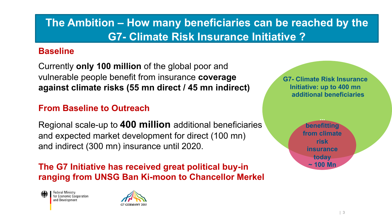## **The Ambition – How many beneficiaries can be reached by the G7- Climate Risk Insurance Initiative ?**

#### **Baseline**

Currently **only 100 million** of the global poor and vulnerable people benefit from insurance **coverage against climate risks (55 mn direct / 45 mn indirect)** 

### **From Baseline to Outreach**

Regional scale-up to **400 million** additional beneficiaries and expected market development for direct (100 mn) and indirect (300 mn) insurance until 2020.

**The G7 Initiative has received great political buy-in ranging from UNSG Ban Ki-moon to Chancellor Merkel** 

**Federal Ministry** for Economic Cooperation and Development



**G7- Climate Risk Insurance Initiative: up to 400 mn additional beneficiaries**

> **... benefitting from climate risk insurance today ~ 100 Mn**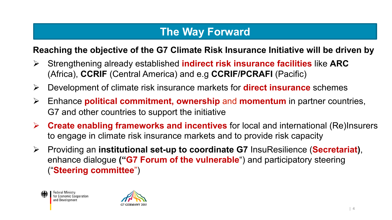### **The Way Forward**

### **Reaching the objective of the G7 Climate Risk Insurance Initiative will be driven by**

- (Africa), **CCRIF** (Central America) and e.g **CCRIF/PCRAFI** (Pacific) Ø Strengthening already established **indirect risk insurance facilities** like **ARC**
- Ø Development of climate risk insurance markets for **direct insurance** schemes
- Ø Enhance **political commitment, ownership** and **momentum** in partner countries, G7 and other countries to support the initiative
- Ø **Create enabling frameworks and incentives** for local and international (Re)Insurers to engage in climate risk insurance markets and to provide risk capacity
- Ø Providing an **institutional set-up to coordinate G7** InsuResilience (**Secretariat)**, enhance dialogue **("G7 Forum of the vulnerable**") and participatory steering ("**Steering committee**")



**Federal Ministry** for Economic Cooperation and Development

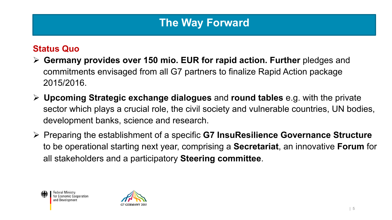### **The Way Forward**

#### **Status Quo**

- **Commitments envisaged from all G7 partners to finalize Rapid Action package** Ø **Germany provides over 150 mio. EUR for rapid action. Further** pledges and 2015/2016.
- Ø **Upcoming Strategic exchange dialogues** and **round tables** e.g. with the private sector which plays a crucial role, the civil society and vulnerable countries, UN bodies, development banks, science and research.
- Ø Preparing the establishment of a specific **G7 InsuResilience Governance Structure**  to be operational starting next year, comprising a **Secretariat**, an innovative **Forum** for all stakeholders and a participatory **Steering committee**.



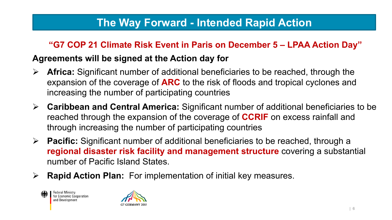### **The Way Forward - Intended Rapid Action**

### **"G7 COP 21 Climate Risk Event in Paris on December 5 – LPAA Action Day"**

#### **Agreements will be signed at the Action day for**

- Ø **Africa:** Significant number of additional beneficiaries to be reached, through the expansion of the coverage of **ARC** to the risk of floods and tropical cyclones and increasing the number of participating countries
- Ø **Caribbean and Central America:** Significant number of additional beneficiaries to be reached through the expansion of the coverage of **CCRIF** on excess rainfall and through increasing the number of participating countries
- Ø **Pacific:** Significant number of additional beneficiaries to be reached, through a **regional disaster risk facility and management structure** covering a substantial number of Pacific Island States.
- Ø **Rapid Action Plan:** For implementation of initial key measures.



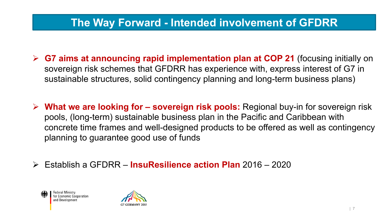### **The Way Forward - Intended involvement of GFDRR**

- <sup>Ø</sup> **G7 aims at announcing rapid implementation plan at COP 21** (focusing initially on sovereign risk schemes that GFDRR has experience with, express interest of G7 in sustainable structures, solid contingency planning and long-term business plans)
- Ø **What we are looking for sovereign risk pools:** Regional buy-in for sovereign risk pools, (long-term) sustainable business plan in the Pacific and Caribbean with concrete time frames and well-designed products to be offered as well as contingency planning to guarantee good use of funds
- Ø Establish a GFDRR **InsuResilience action Plan** 2016 2020